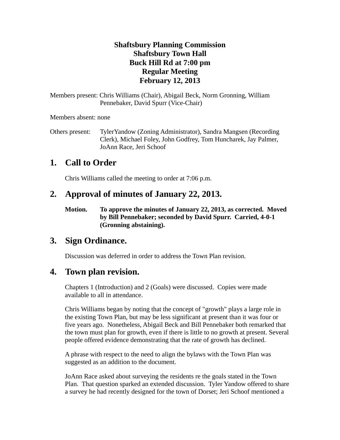#### **Shaftsbury Planning Commission Shaftsbury Town Hall Buck Hill Rd at 7:00 pm Regular Meeting February 12, 2013**

Members present: Chris Williams (Chair), Abigail Beck, Norm Gronning, William Pennebaker, David Spurr (Vice-Chair)

Members absent: none

Others present: TylerYandow (Zoning Administrator), Sandra Mangsen (Recording Clerk), Michael Foley, John Godfrey, Tom Huncharek, Jay Palmer, JoAnn Race, Jeri Schoof

# **1. Call to Order**

Chris Williams called the meeting to order at 7:06 p.m.

# **2. Approval of minutes of January 22, 2013.**

**Motion. To approve the minutes of January 22, 2013, as corrected. Moved by Bill Pennebaker; seconded by David Spurr. Carried, 4-0-1 (Gronning abstaining).**

## **3. Sign Ordinance.**

Discussion was deferred in order to address the Town Plan revision.

## **4. Town plan revision.**

Chapters 1 (Introduction) and 2 (Goals) were discussed. Copies were made available to all in attendance.

Chris Williams began by noting that the concept of "growth" plays a large role in the existing Town Plan, but may be less significant at present than it was four or five years ago. Nonetheless, Abigail Beck and Bill Pennebaker both remarked that the town must plan for growth, even if there is little to no growth at present. Several people offered evidence demonstrating that the rate of growth has declined.

A phrase with respect to the need to align the bylaws with the Town Plan was suggested as an addition to the document.

JoAnn Race asked about surveying the residents re the goals stated in the Town Plan. That question sparked an extended discussion. Tyler Yandow offered to share a survey he had recently designed for the town of Dorset; Jeri Schoof mentioned a